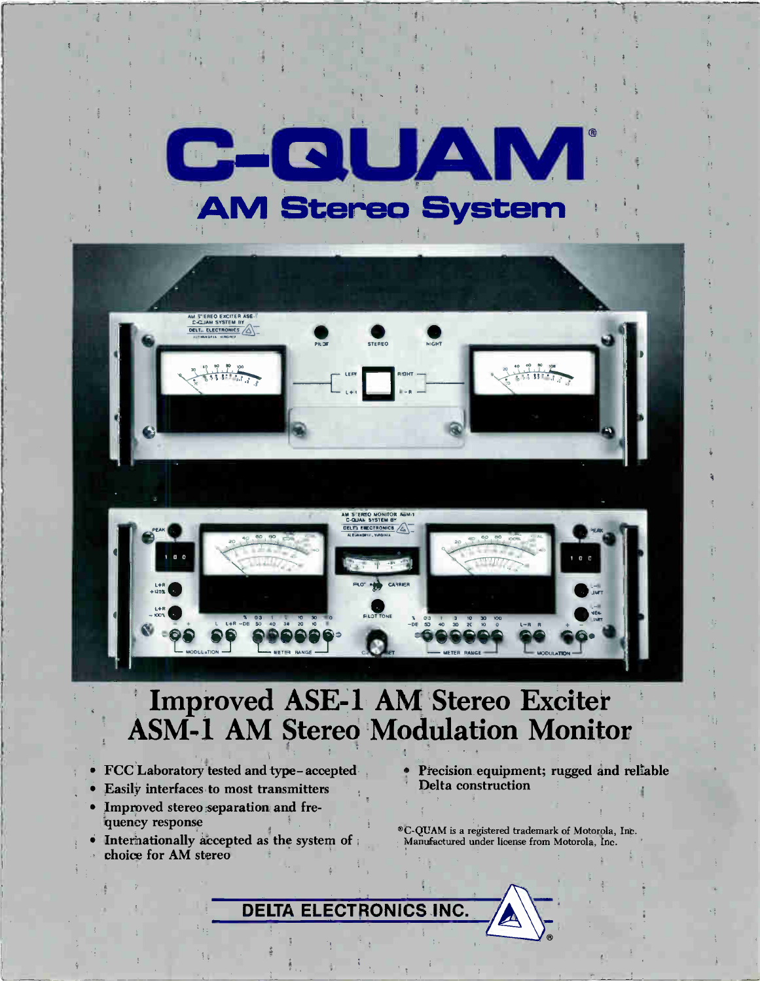



# Improved ASE-1 AM Stereo Exciter **ASM-1 AM Stereo Modulation Monitor**

- FCC Laboratory tested and type-accepted
- Easily interfaces to most transmitters
- · Improved stereo separation and frequency response
- Internationally accepted as the system of choice for AM stereo
- Precision equipment; rugged and reliable Delta construction
- ®C-QUAM is a registered trademark of Motorola, Inc. Manufactured under license from Motorola, Inc.

**ELECTRONICS INC DELTA**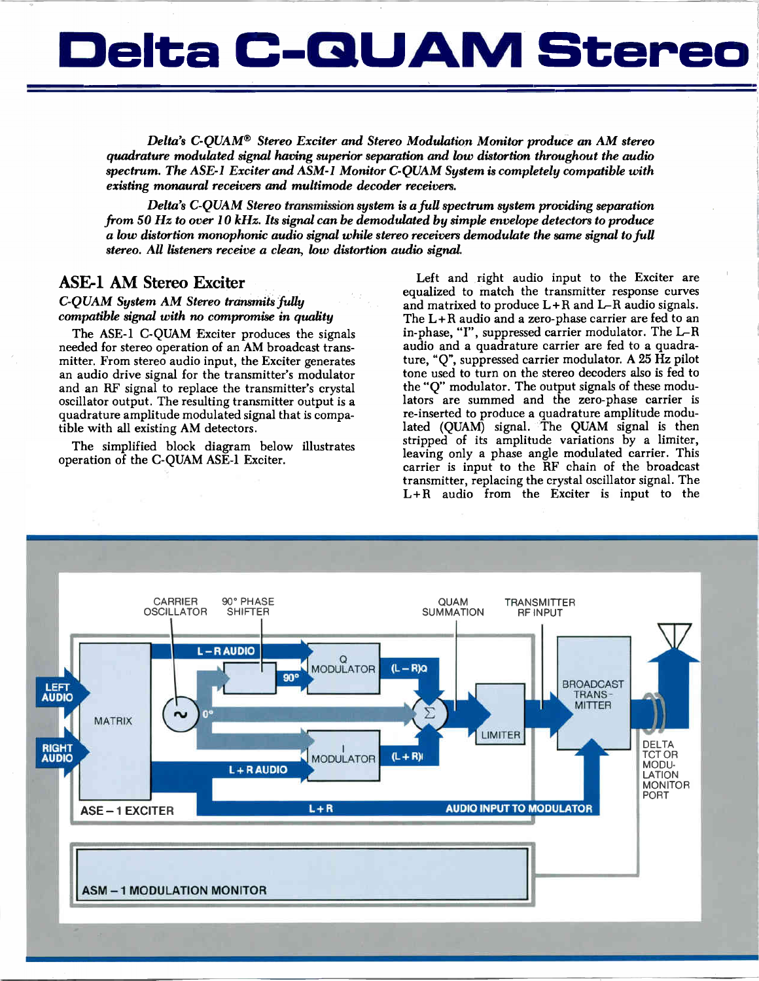# Delta C-QUAM Stereo

Delta's C-QUAM® Stereo Exciter and Stereo Modulation Monitor produce an AM stereo quadrature modulated signal having superior separation and low distortion throughout the audio spectrum. The ASE-1 Exciter and ASM-1 Monitor C-QUAM System is completely compatible with existing monaural receivers and multimode decoder receivers.

Delta's C-QUAM Stereo transmission system is a full spectrum system providing separation from 50 Hz to over 10 kHz. Its signal can be demodulated by simple envelope detectors to produce a low distortion monophonic audio signal while stereo receivers demodulate the same signal to full stereo. All listeners receive a clean, low distortion audio signal.

### ASE-1 AM Stereo Exciter

C-QUAM System AM Stereo transmits fully compatible signal with no compromise in quality

The ASE-1 C-QUAM Exciter produces the signals needed for stereo operation of an AM broadcast transmitter. From stereo audio input, the Exciter generates an audio drive signal for the transmitter's modulator and an RF signal to replace the transmitter's crystal oscillator output. The resulting transmitter output is quadrature amplitude modulated signal that is compatible with all existing AM detectors.

The simplified block diagram below illustrates operation of the C-QUAM ASE-1 Exciter.

Left and right audio input to the Exciter are equalized to match the transmitter response curves and matrixed to produce  $L + R$  and  $L - R$  audio signals. The L+R audio and a zero-phase carrier are fed to an in-phase, "I", suppressed carrier modulator. The L-R audio and a quadrature carrier are fed to a quadrature, "Q", suppressed carrier modulator. A 25 Hz pilot tone used to turn on the stereo decoders also is fed to the "Q" modulator. The output signals of these modulators are summed and the zero-phase carrier is re-inserted to produce quadrature amplitude modulated (QUAM) signal. The QUAM signal is then stripped of its amplitude variations by a limiter, leaving only a phase angle modulated carrier. This carrier is input to the RF chain of the broadcast transmitter, replacing the crystal oscillator signal. The L+R audio from the Exciter is input to the

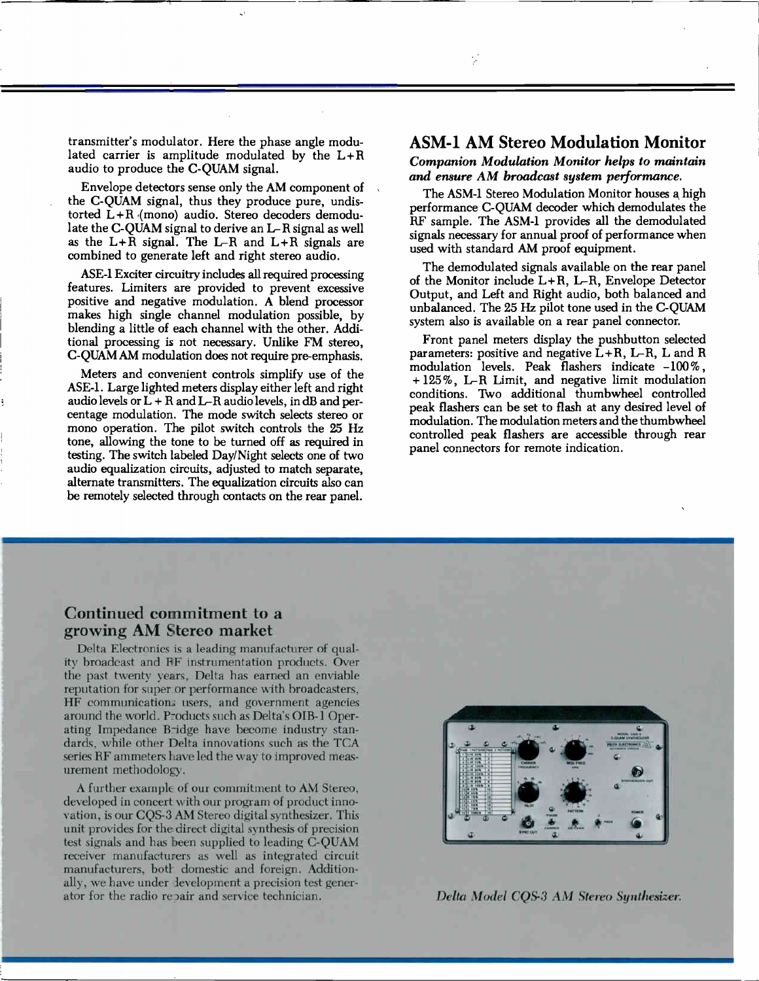transmitter's modulator. Here the phase angle modulated carrier is amplitude modulated by the L+R audio to produce the C-QUAM signal.

Envelope detectors sense only the AM component of the C-QUAM signal, thus they produce pure, undistorted L+R (mono) audio. Stereo decoders demodulate the C-QUAM signal to derive an L-R signal as well as the  $L+\overline{R}$  signal. The L-R and  $L+\overline{R}$  signals are combined to generate left and right stereo audio.

ASE-1 Exciter circuitry includes all required processing features. Limiters are provided to prevent excessive positive and negative modulation. A blend processor makes high single channel modulation possible, by blending a little of each channel with the other. Additional processing is not necessary. Unlike FM stereo, C-QUAM AM modulation does not require pre-emphasis.

Meters and convenient controls simplify use of the ASE-1. Large lighted meters display either left and right audio levels or  $L + R$  and  $L-R$  audio levels, in dB and percentage modulation. The mode switch selects stereo or mono operation. The pilot switch controls the 25 Hz tone, allowing the tone to be turned off as required in testing. The switch labeled Day/Night selects one of two audio equalization circuits, adjusted to match separate, alternate transmitters. The equalization circuits also can be remotely selected through contacts on the rear panel.

## ASM-1 AM Stereo Modulation Monitor

Companion Modulation Monitor helps to maintain and ensure AM broadcast system performance.

The ASM-1 Stereo Modulation Monitor houses a high performance C-QUAM decoder which demodulates the RF sample. The ASM-1 provides all the demodulated signals necessary for annual proof of performance when used with standard AM proof equipment.

The demodulated signals available on the rear panel of the Monitor include  $L+R$ ,  $L-R$ , Envelope Detector Output, and Left and Right audio, both balanced and unbalanced. The 25 Hz pilot tone used in the C-QUAM system also is available on a rear panel connector.

Front panel meters display the pushbutton selected parameters: positive and negative  $L+R$ ,  $L-R$ ,  $L$  and  $R$ modulation levels. Peak flashers indicate  $-100\%$ , + 125%, L-R Limit, and negative limit modulation conditions. Two additional thumbwheel controlled peak flashers can be set to flash at any desired level of modulation. The modulation meters and the thumbwheel controlled peak flashers are accessible through rear panel connectors for remote indication.

## Continued commitment to a growing AM Stereo market

Delta Electronics is a leading manufacturer of quality broadcast and IfF instrumentation products. Over the past twenty years, Delta has earned an enviable reputation for super\_or performance with broadcasters, HF communication: users, and government agencies around the world. Products such as Delta's OIB-1 Operating Impedance Bridge have become industry standards, while other Delta innovations such as the TCA series RF ammeters have led the way to improved measurement methodology.

A further example of our commitment to AM Stereo, developed in concert with our program of product innovation, is our CQS-3 AM Stereo digital synthesizer. This unit provides for the direct digital synthesis of precision test signals and has been supplied to leading C-QUAM receiver manufacturers as well as integrated circuit manufacturers, both domestic and foreign. Additionally, we have under development a precision test generator for the radio repair and service technician. Delta Model CQS-3 AM Stereo Synthesizer.